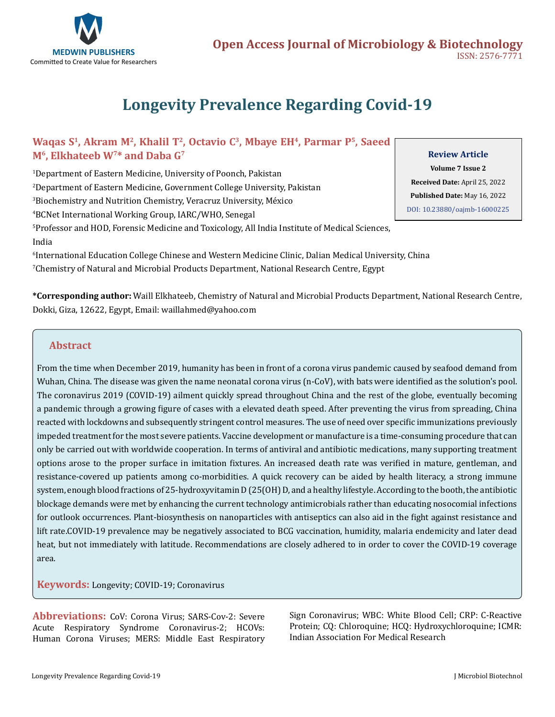

# **Longevity Prevalence Regarding Covid-19**

# **Waqas S1, Akram M2, Khalil T2, Octavio C3, Mbaye EH4, Parmar P5, Saeed M6, Elkhateeb W7\* and Daba G7**

 Department of Eastern Medicine, University of Poonch, Pakistan Department of Eastern Medicine, Government College University, Pakistan Biochemistry and Nutrition Chemistry, Veracruz University, México BCNet International Working Group, IARC/WHO, Senegal Professor and HOD, Forensic Medicine and Toxicology, All India Institute of Medical Sciences, India

6 International Education College Chinese and Western Medicine Clinic, Dalian Medical University, China  $^\prime$ Chemistry of Natural and Microbial Products Department, National Research Centre, Egypt $\,$ 

**Volume 7 Issue 2**

**Review Article** 

**Received Date:** April 25, 2022 **Published Date:** May 16, 2022 [DOI: 10.23880/oajmb-16000225](https://doi.org/10.23880/oajmb-16000225)

**\*Corresponding author:** Waill Elkhateeb, Chemistry of Natural and Microbial Products Department, National Research Centre, Dokki, Giza, 12622, Egypt, Email: waillahmed@yahoo.com

# **Abstract**

From the time when December 2019, humanity has been in front of a corona virus pandemic caused by seafood demand from Wuhan, China. The disease was given the name neonatal corona virus (n-CoV), with bats were identified as the solution's pool. The coronavirus 2019 (COVID-19) ailment quickly spread throughout China and the rest of the globe, eventually becoming a pandemic through a growing figure of cases with a elevated death speed. After preventing the virus from spreading, China reacted with lockdowns and subsequently stringent control measures. The use of need over specific immunizations previously impeded treatment for the most severe patients. Vaccine development or manufacture is a time-consuming procedure that can only be carried out with worldwide cooperation. In terms of antiviral and antibiotic medications, many supporting treatment options arose to the proper surface in imitation fixtures. An increased death rate was verified in mature, gentleman, and resistance-covered up patients among co-morbidities. A quick recovery can be aided by health literacy, a strong immune system, enough blood fractions of 25-hydroxyvitamin D (25(OH) D, and a healthy lifestyle. According to the booth, the antibiotic blockage demands were met by enhancing the current technology antimicrobials rather than educating nosocomial infections for outlook occurrences. Plant-biosynthesis on nanoparticles with antiseptics can also aid in the fight against resistance and lift rate.COVID-19 prevalence may be negatively associated to BCG vaccination, humidity, malaria endemicity and later dead heat, but not immediately with latitude. Recommendations are closely adhered to in order to cover the COVID-19 coverage area.

**Keywords:** Longevity; COVID-19; Coronavirus

**Abbreviations:** CoV: Corona Virus; SARS-Cov-2: Severe Acute Respiratory Syndrome Coronavirus-2; HCOVs: Human Corona Viruses; MERS: Middle East Respiratory Sign Coronavirus; WBC: White Blood Cell; CRP: C-Reactive Protein; CQ: Chloroquine; HCQ: Hydroxychloroquine; ICMR: Indian Association For Medical Research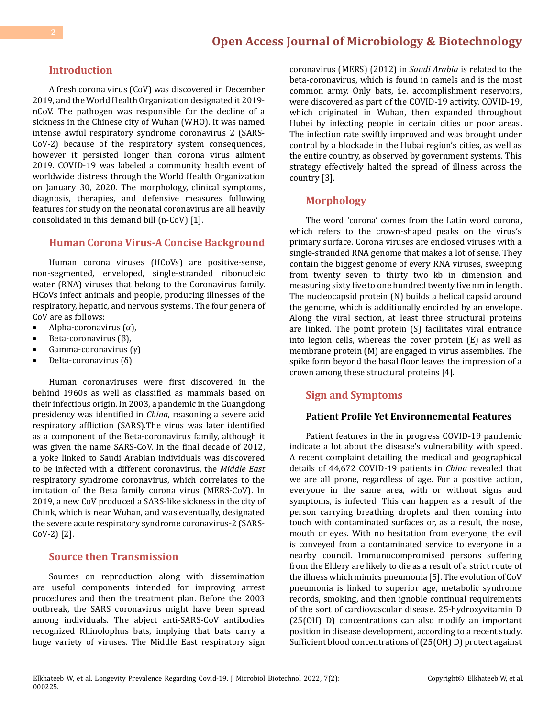# **Introduction**

A fresh corona virus (CoV) was discovered in December 2019, and the World Health Organization designated it 2019 nCoV. The pathogen was responsible for the decline of a sickness in the Chinese city of Wuhan (WHO). It was named intense awful respiratory syndrome coronavirus 2 (SARS-CoV-2) because of the respiratory system consequences, however it persisted longer than corona virus ailment 2019. COVID-19 was labeled a community health event of worldwide distress through the World Health Organization on January 30, 2020. The morphology, clinical symptoms, diagnosis, therapies, and defensive measures following features for study on the neonatal coronavirus are all heavily consolidated in this demand bill (n-CoV) [1].

#### **Human Corona Virus-A Concise Background**

Human corona viruses (HCoVs) are positive-sense, non-segmented, enveloped, single-stranded ribonucleic water (RNA) viruses that belong to the Coronavirus family. HCoVs infect animals and people, producing illnesses of the respiratory, hepatic, and nervous systems. The four genera of CoV are as follows:

- Alpha-coronavirus  $(α)$ ,
- Beta-coronavirus  $(β)$ ,
- Gamma-coronavirus  $(\gamma)$
- Delta-coronavirus (δ).

Human coronaviruses were first discovered in the behind 1960s as well as classified as mammals based on their infectious origin. In 2003, a pandemic in the Guangdong presidency was identified in *China*, reasoning a severe acid respiratory affliction (SARS).The virus was later identified as a component of the Beta-coronavirus family, although it was given the name SARS-CoV. In the final decade of 2012, a yoke linked to Saudi Arabian individuals was discovered to be infected with a different coronavirus, the *Middle East* respiratory syndrome coronavirus, which correlates to the imitation of the Beta family corona virus (MERS-CoV). In 2019, a new CoV produced a SARS-like sickness in the city of Chink, which is near Wuhan, and was eventually, designated the severe acute respiratory syndrome coronavirus-2 (SARS-CoV-2) [2].

# **Source then Transmission**

Sources on reproduction along with dissemination are useful components intended for improving arrest procedures and then the treatment plan. Before the 2003 outbreak, the SARS coronavirus might have been spread among individuals. The abject anti-SARS-CoV antibodies recognized Rhinolophus bats, implying that bats carry a huge variety of viruses. The Middle East respiratory sign

coronavirus (MERS) (2012) in *Saudi Arabia* is related to the beta-coronavirus, which is found in camels and is the most common army. Only bats, i.e. accomplishment reservoirs, were discovered as part of the COVID-19 activity. COVID-19, which originated in Wuhan, then expanded throughout Hubei by infecting people in certain cities or poor areas. The infection rate swiftly improved and was brought under control by a blockade in the Hubai region's cities, as well as the entire country, as observed by government systems. This strategy effectively halted the spread of illness across the country [3].

### **Morphology**

The word 'corona' comes from the Latin word corona, which refers to the crown-shaped peaks on the virus's primary surface. Corona viruses are enclosed viruses with a single-stranded RNA genome that makes a lot of sense. They contain the biggest genome of every RNA viruses, sweeping from twenty seven to thirty two kb in dimension and measuring sixty five to one hundred twenty five nm in length. The nucleocapsid protein (N) builds a helical capsid around the genome, which is additionally encircled by an envelope. Along the viral section, at least three structural proteins are linked. The point protein (S) facilitates viral entrance into legion cells, whereas the cover protein (E) as well as membrane protein (M) are engaged in virus assemblies. The spike form beyond the basal floor leaves the impression of a crown among these structural proteins [4].

# **Sign and Symptoms**

#### **Patient Profile Yet Environnemental Features**

Patient features in the in progress COVID-19 pandemic indicate a lot about the disease's vulnerability with speed. A recent complaint detailing the medical and geographical details of 44,672 COVID-19 patients in *China* revealed that we are all prone, regardless of age. For a positive action, everyone in the same area, with or without signs and symptoms, is infected. This can happen as a result of the person carrying breathing droplets and then coming into touch with contaminated surfaces or, as a result, the nose, mouth or eyes. With no hesitation from everyone, the evil is conveyed from a contaminated service to everyone in a nearby council. Immunocompromised persons suffering from the Eldery are likely to die as a result of a strict route of the illness which mimics pneumonia [5]. The evolution of CoV pneumonia is linked to superior age, metabolic syndrome records, smoking, and then ignoble continual requirements of the sort of cardiovascular disease. 25-hydroxyvitamin D (25(OH) D) concentrations can also modify an important position in disease development, according to a recent study. Sufficient blood concentrations of (25(OH) D) protect against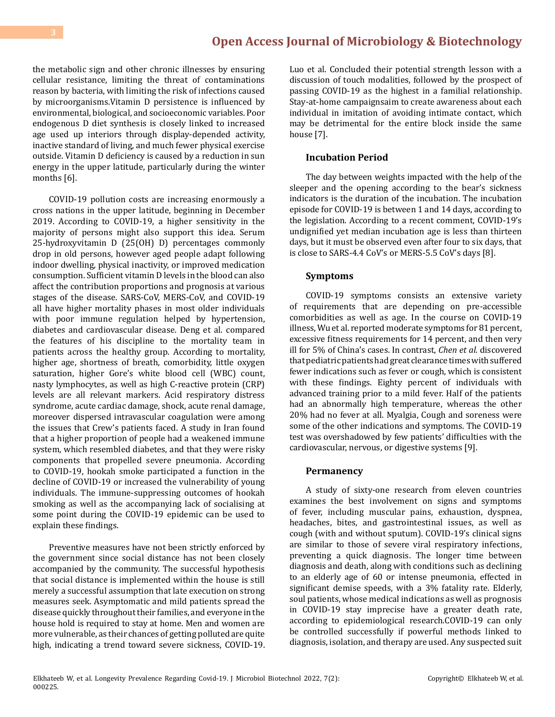the metabolic sign and other chronic illnesses by ensuring cellular resistance, limiting the threat of contaminations reason by bacteria, with limiting the risk of infections caused by microorganisms.Vitamin D persistence is influenced by environmental, biological, and socioeconomic variables. Poor endogenous D diet synthesis is closely linked to increased age used up interiors through display-depended activity, inactive standard of living, and much fewer physical exercise outside. Vitamin D deficiency is caused by a reduction in sun energy in the upper latitude, particularly during the winter months [6].

COVID-19 pollution costs are increasing enormously a cross nations in the upper latitude, beginning in December 2019. According to COVID-19, a higher sensitivity in the majority of persons might also support this idea. Serum 25-hydroxyvitamin D (25(OH) D) percentages commonly drop in old persons, however aged people adapt following indoor dwelling, physical inactivity, or improved medication consumption. Sufficient vitamin D levels in the blood can also affect the contribution proportions and prognosis at various stages of the disease. SARS-CoV, MERS-CoV, and COVID-19 all have higher mortality phases in most older individuals with poor immune regulation helped by hypertension, diabetes and cardiovascular disease. Deng et al. compared the features of his discipline to the mortality team in patients across the healthy group. According to mortality, higher age, shortness of breath, comorbidity, little oxygen saturation, higher Gore's white blood cell (WBC) count, nasty lymphocytes, as well as high C-reactive protein (CRP) levels are all relevant markers. Acid respiratory distress syndrome, acute cardiac damage, shock, acute renal damage, moreover dispersed intravascular coagulation were among the issues that Crew's patients faced. A study in Iran found that a higher proportion of people had a weakened immune system, which resembled diabetes, and that they were risky components that propelled severe pneumonia. According to COVID-19, hookah smoke participated a function in the decline of COVID-19 or increased the vulnerability of young individuals. The immune-suppressing outcomes of hookah smoking as well as the accompanying lack of socialising at some point during the COVID-19 epidemic can be used to explain these findings.

Preventive measures have not been strictly enforced by the government since social distance has not been closely accompanied by the community. The successful hypothesis that social distance is implemented within the house is still merely a successful assumption that late execution on strong measures seek. Asymptomatic and mild patients spread the disease quickly throughout their families, and everyone in the house hold is required to stay at home. Men and women are more vulnerable, as their chances of getting polluted are quite high, indicating a trend toward severe sickness, COVID-19.

Luo et al. Concluded their potential strength lesson with a discussion of touch modalities, followed by the prospect of passing COVID-19 as the highest in a familial relationship. Stay-at-home campaignsaim to create awareness about each individual in imitation of avoiding intimate contact, which may be detrimental for the entire block inside the same house [7].

#### **Incubation Period**

The day between weights impacted with the help of the sleeper and the opening according to the bear's sickness indicators is the duration of the incubation. The incubation episode for COVID-19 is between 1 and 14 days, according to the legislation. According to a recent comment, COVID-19's undignified yet median incubation age is less than thirteen days, but it must be observed even after four to six days, that is close to SARS-4.4 CoV's or MERS-5.5 CoV's days [8].

### **Symptoms**

COVID-19 symptoms consists an extensive variety of requirements that are depending on pre-accessible comorbidities as well as age. In the course on COVID-19 illness, Wu et al. reported moderate symptoms for 81 percent, excessive fitness requirements for 14 percent, and then very ill for 5% of China's cases. In contrast, *Chen et al.* discovered that pediatric patients had great clearance times with suffered fewer indications such as fever or cough, which is consistent with these findings. Eighty percent of individuals with advanced training prior to a mild fever. Half of the patients had an abnormally high temperature, whereas the other 20% had no fever at all. Myalgia, Cough and soreness were some of the other indications and symptoms. The COVID-19 test was overshadowed by few patients' difficulties with the cardiovascular, nervous, or digestive systems [9].

#### **Permanency**

A study of sixty-one research from eleven countries examines the best involvement on signs and symptoms of fever, including muscular pains, exhaustion, dyspnea, headaches, bites, and gastrointestinal issues, as well as cough (with and without sputum). COVID-19's clinical signs are similar to those of severe viral respiratory infections, preventing a quick diagnosis. The longer time between diagnosis and death, along with conditions such as declining to an elderly age of 60 or intense pneumonia, effected in significant demise speeds, with a 3% fatality rate. Elderly, soul patients, whose medical indications as well as prognosis in COVID-19 stay imprecise have a greater death rate, according to epidemiological research.COVID-19 can only be controlled successfully if powerful methods linked to diagnosis, isolation, and therapy are used. Any suspected suit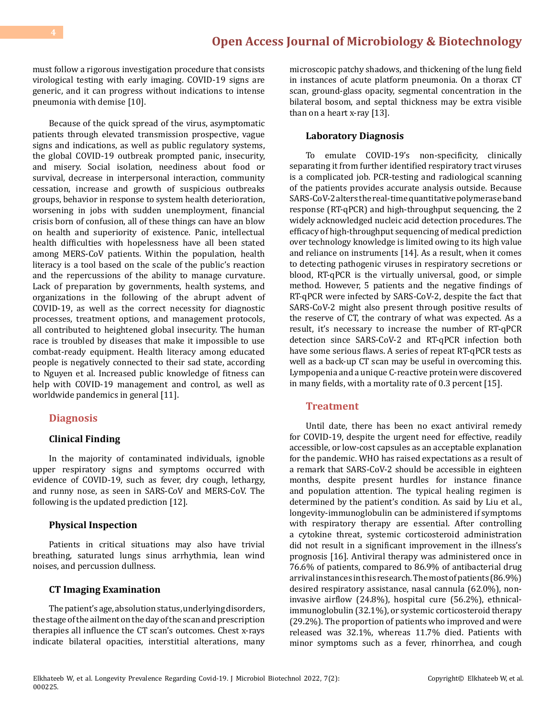must follow a rigorous investigation procedure that consists virological testing with early imaging. COVID-19 signs are generic, and it can progress without indications to intense pneumonia with demise [10].

Because of the quick spread of the virus, asymptomatic patients through elevated transmission prospective, vague signs and indications, as well as public regulatory systems, the global COVID-19 outbreak prompted panic, insecurity, and misery. Social isolation, neediness about food or survival, decrease in interpersonal interaction, community cessation, increase and growth of suspicious outbreaks groups, behavior in response to system health deterioration, worsening in jobs with sudden unemployment, financial crisis born of confusion, all of these things can have an blow on health and superiority of existence. Panic, intellectual health difficulties with hopelessness have all been stated among MERS-CoV patients. Within the population, health literacy is a tool based on the scale of the public's reaction and the repercussions of the ability to manage curvature. Lack of preparation by governments, health systems, and organizations in the following of the abrupt advent of COVID-19, as well as the correct necessity for diagnostic processes, treatment options, and management protocols, all contributed to heightened global insecurity. The human race is troubled by diseases that make it impossible to use combat-ready equipment. Health literacy among educated people is negatively connected to their sad state, according to Nguyen et al. Increased public knowledge of fitness can help with COVID-19 management and control, as well as worldwide pandemics in general [11].

#### **Diagnosis**

#### **Clinical Finding**

In the majority of contaminated individuals, ignoble upper respiratory signs and symptoms occurred with evidence of COVID-19, such as fever, dry cough, lethargy, and runny nose, as seen in SARS-CoV and MERS-CoV. The following is the updated prediction [12].

#### **Physical Inspection**

Patients in critical situations may also have trivial breathing, saturated lungs sinus arrhythmia, lean wind noises, and percussion dullness.

#### **CT Imaging Examination**

The patient's age, absolution status, underlying disorders, the stage of the ailment on the day of the scan and prescription therapies all influence the CT scan's outcomes. Chest x-rays indicate bilateral opacities, interstitial alterations, many

microscopic patchy shadows, and thickening of the lung field in instances of acute platform pneumonia. On a thorax CT scan, ground-glass opacity, segmental concentration in the bilateral bosom, and septal thickness may be extra visible than on a heart x-ray [13].

#### **Laboratory Diagnosis**

To emulate COVID-19's non-specificity, clinically separating it from further identified respiratory tract viruses is a complicated job. PCR-testing and radiological scanning of the patients provides accurate analysis outside. Because SARS-CoV-2 alters the real-time quantitative polymerase band response (RT-qPCR) and high-throughput sequencing, the 2 widely acknowledged nucleic acid detection procedures. The efficacy of high-throughput sequencing of medical prediction over technology knowledge is limited owing to its high value and reliance on instruments [14]. As a result, when it comes to detecting pathogenic viruses in respiratory secretions or blood, RT-qPCR is the virtually universal, good, or simple method. However, 5 patients and the negative findings of RT-qPCR were infected by SARS-CoV-2, despite the fact that SARS-CoV-2 might also present through positive results of the reserve of CT, the contrary of what was expected. As a result, it's necessary to increase the number of RT-qPCR detection since SARS-CoV-2 and RT-qPCR infection both have some serious flaws. A series of repeat RT-qPCR tests as well as a back-up CT scan may be useful in overcoming this. Lympopenia and a unique C-reactive protein were discovered in many fields, with a mortality rate of 0.3 percent [15].

#### **Treatment**

Until date, there has been no exact antiviral remedy for COVID-19, despite the urgent need for effective, readily accessible, or low-cost capsules as an acceptable explanation for the pandemic. WHO has raised expectations as a result of a remark that SARS-CoV-2 should be accessible in eighteen months, despite present hurdles for instance finance and population attention. The typical healing regimen is determined by the patient's condition. As said by Liu et al., longevity-immunoglobulin can be administered if symptoms with respiratory therapy are essential. After controlling a cytokine threat, systemic corticosteroid administration did not result in a significant improvement in the illness's prognosis [16]. Antiviral therapy was administered once in 76.6% of patients, compared to 86.9% of antibacterial drug arrival instances in this research. The most of patients (86.9%) desired respiratory assistance, nasal cannula (62.0%), noninvasive airflow (24.8%), hospital cure (56.2%), ethnicalimmunoglobulin (32.1%), or systemic corticosteroid therapy (29.2%). The proportion of patients who improved and were released was 32.1%, whereas 11.7% died. Patients with minor symptoms such as a fever, rhinorrhea, and cough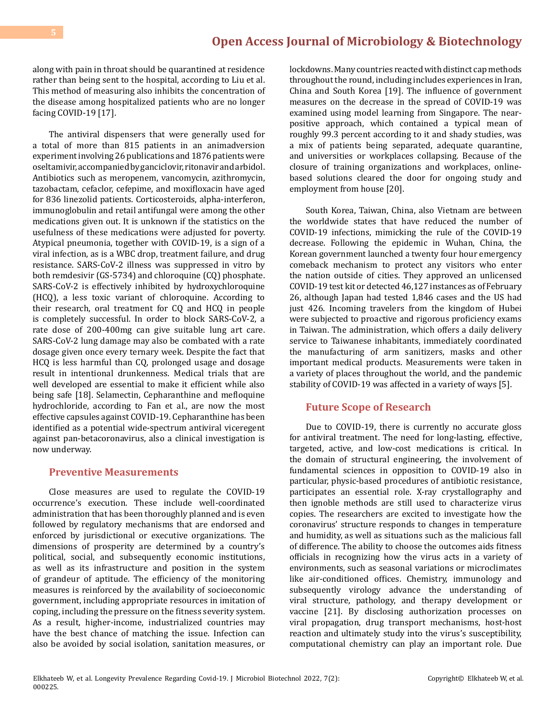along with pain in throat should be quarantined at residence rather than being sent to the hospital, according to Liu et al. This method of measuring also inhibits the concentration of the disease among hospitalized patients who are no longer facing COVID-19 [17].

The antiviral dispensers that were generally used for a total of more than 815 patients in an animadversion experiment involving 26 publications and 1876 patients were oseltamivir, accompanied by ganciclovir, ritonavir and arbidol. Antibiotics such as meropenem, vancomycin, azithromycin, tazobactam, cefaclor, cefepime, and moxifloxacin have aged for 836 linezolid patients. Corticosteroids, alpha-interferon, immunoglobulin and retail antifungal were among the other medications given out. It is unknown if the statistics on the usefulness of these medications were adjusted for poverty. Atypical pneumonia, together with COVID-19, is a sign of a viral infection, as is a WBC drop, treatment failure, and drug resistance. SARS-CoV-2 illness was suppressed in vitro by both remdesivir (GS-5734) and chloroquine (CQ) phosphate. SARS-CoV-2 is effectively inhibited by hydroxychloroquine (HCQ), a less toxic variant of chloroquine. According to their research, oral treatment for CQ and HCQ in people is completely successful. In order to block SARS-CoV-2, a rate dose of 200-400mg can give suitable lung art care. SARS-CoV-2 lung damage may also be combated with a rate dosage given once every ternary week. Despite the fact that HCQ is less harmful than CQ, prolonged usage and dosage result in intentional drunkenness. Medical trials that are well developed are essential to make it efficient while also being safe [18]. Selamectin, Cepharanthine and mefloquine hydrochloride, according to Fan et al., are now the most effective capsules against COVID-19. Cepharanthine has been identified as a potential wide-spectrum antiviral viceregent against pan-betacoronavirus, also a clinical investigation is now underway.

# **Preventive Measurements**

Close measures are used to regulate the COVID-19 occurrence's execution. These include well-coordinated administration that has been thoroughly planned and is even followed by regulatory mechanisms that are endorsed and enforced by jurisdictional or executive organizations. The dimensions of prosperity are determined by a country's political, social, and subsequently economic institutions, as well as its infrastructure and position in the system of grandeur of aptitude. The efficiency of the monitoring measures is reinforced by the availability of socioeconomic government, including appropriate resources in imitation of coping, including the pressure on the fitness severity system. As a result, higher-income, industrialized countries may have the best chance of matching the issue. Infection can also be avoided by social isolation, sanitation measures, or

lockdowns. Many countries reacted with distinct cap methods throughout the round, including includes experiences in Iran, China and South Korea [19]. The influence of government measures on the decrease in the spread of COVID-19 was examined using model learning from Singapore. The nearpositive approach, which contained a typical mean of roughly 99.3 percent according to it and shady studies, was a mix of patients being separated, adequate quarantine, and universities or workplaces collapsing. Because of the closure of training organizations and workplaces, onlinebased solutions cleared the door for ongoing study and employment from house [20].

South Korea, Taiwan, China, also Vietnam are between the worldwide states that have reduced the number of COVID-19 infections, mimicking the rule of the COVID-19 decrease. Following the epidemic in Wuhan, China, the Korean government launched a twenty four hour emergency comeback mechanism to protect any visitors who enter the nation outside of cities. They approved an unlicensed COVID-19 test kit or detected 46,127 instances as of February 26, although Japan had tested 1,846 cases and the US had just 426. Incoming travelers from the kingdom of Hubei were subjected to proactive and rigorous proficiency exams in Taiwan. The administration, which offers a daily delivery service to Taiwanese inhabitants, immediately coordinated the manufacturing of arm sanitizers, masks and other important medical products. Measurements were taken in a variety of places throughout the world, and the pandemic stability of COVID-19 was affected in a variety of ways [5].

# **Future Scope of Research**

Due to COVID-19, there is currently no accurate gloss for antiviral treatment. The need for long-lasting, effective, targeted, active, and low-cost medications is critical. In the domain of structural engineering, the involvement of fundamental sciences in opposition to COVID-19 also in particular, physic-based procedures of antibiotic resistance, participates an essential role. X-ray crystallography and then ignoble methods are still used to characterize virus copies. The researchers are excited to investigate how the coronavirus' structure responds to changes in temperature and humidity, as well as situations such as the malicious fall of difference. The ability to choose the outcomes aids fitness officials in recognizing how the virus acts in a variety of environments, such as seasonal variations or microclimates like air-conditioned offices. Chemistry, immunology and subsequently virology advance the understanding of viral structure, pathology, and therapy development or vaccine [21]. By disclosing authorization processes on viral propagation, drug transport mechanisms, host-host reaction and ultimately study into the virus's susceptibility, computational chemistry can play an important role. Due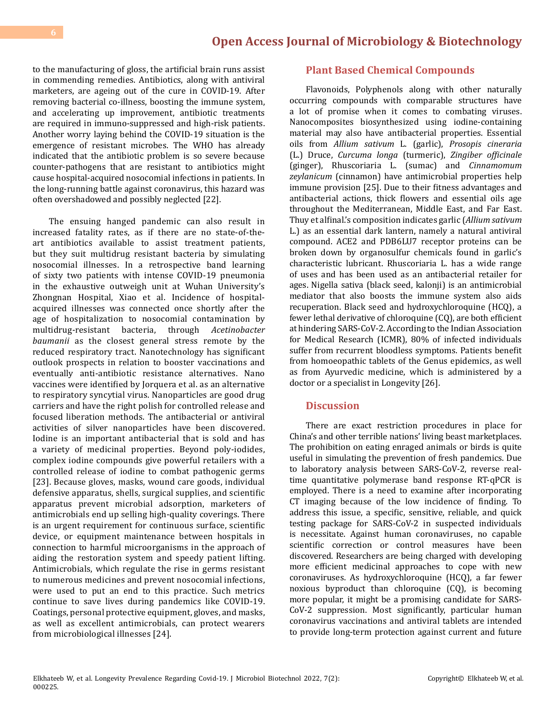to the manufacturing of gloss, the artificial brain runs assist in commending remedies. Antibiotics, along with antiviral marketers, are ageing out of the cure in COVID-19. After removing bacterial co-illness, boosting the immune system, and accelerating up improvement, antibiotic treatments are required in immuno-suppressed and high-risk patients. Another worry laying behind the COVID-19 situation is the emergence of resistant microbes. The WHO has already indicated that the antibiotic problem is so severe because counter-pathogens that are resistant to antibiotics might cause hospital-acquired nosocomial infections in patients. In the long-running battle against coronavirus, this hazard was often overshadowed and possibly neglected [22].

The ensuing hanged pandemic can also result in increased fatality rates, as if there are no state-of-theart antibiotics available to assist treatment patients, but they suit multidrug resistant bacteria by simulating nosocomial illnesses. In a retrospective band learning of sixty two patients with intense COVID-19 pneumonia in the exhaustive outweigh unit at Wuhan University's Zhongnan Hospital, Xiao et al. Incidence of hospitalacquired illnesses was connected once shortly after the age of hospitalization to nosocomial contamination by<br>multidrug-resistant bacteria, through Acetinobacter multidrug-resistant bacteria, *baumanii* as the closest general stress remote by the reduced respiratory tract. Nanotechnology has significant outlook prospects in relation to booster vaccinations and eventually anti-antibiotic resistance alternatives. Nano vaccines were identified by Jorquera et al. as an alternative to respiratory syncytial virus. Nanoparticles are good drug carriers and have the right polish for controlled release and focused liberation methods. The antibacterial or antiviral activities of silver nanoparticles have been discovered. Iodine is an important antibacterial that is sold and has a variety of medicinal properties. Beyond poly-iodides, complex iodine compounds give powerful retailers with a controlled release of iodine to combat pathogenic germs [23]. Because gloves, masks, wound care goods, individual defensive apparatus, shells, surgical supplies, and scientific apparatus prevent microbial adsorption, marketers of antimicrobials end up selling high-quality coverings. There is an urgent requirement for continuous surface, scientific device, or equipment maintenance between hospitals in connection to harmful microorganisms in the approach of aiding the restoration system and speedy patient lifting. Antimicrobials, which regulate the rise in germs resistant to numerous medicines and prevent nosocomial infections, were used to put an end to this practice. Such metrics continue to save lives during pandemics like COVID-19. Coatings, personal protective equipment, gloves, and masks, as well as excellent antimicrobials, can protect wearers from microbiological illnesses [24].

# **Plant Based Chemical Compounds**

Flavonoids, Polyphenols along with other naturally occurring compounds with comparable structures have a lot of promise when it comes to combating viruses. Nanocomposites biosynthesized using iodine-containing material may also have antibacterial properties. Essential oils from *Allium sativum* L. (garlic), *Prosopis cineraria* (L.) Druce, *Curcuma longa* (turmeric), *Zingiber officinale* (ginger), Rhuscoriaria L. (sumac) and *Cinnamomum zeylanicum* (cinnamon) have antimicrobial properties help immune provision [25]. Due to their fitness advantages and antibacterial actions, thick flowers and essential oils age throughout the Mediterranean, Middle East, and Far East. Thuy et alfinal.'s composition indicates garlic (*Allium sativum* L.) as an essential dark lantern, namely a natural antiviral compound. ACE2 and PDB6LU7 receptor proteins can be broken down by organosulfur chemicals found in garlic's characteristic lubricant. Rhuscoriaria L. has a wide range of uses and has been used as an antibacterial retailer for ages. Nigella sativa (black seed, kalonji) is an antimicrobial mediator that also boosts the immune system also aids recuperation. Black seed and hydroxychloroquine (HCQ), a fewer lethal derivative of chloroquine (CQ), are both efficient at hindering SARS-CoV-2. According to the Indian Association for Medical Research (ICMR), 80% of infected individuals suffer from recurrent bloodless symptoms. Patients benefit from homoeopathic tablets of the Genus epidemics, as well as from Ayurvedic medicine, which is administered by a doctor or a specialist in Longevity [26].

# **Discussion**

There are exact restriction procedures in place for China's and other terrible nations' living beast marketplaces. The prohibition on eating enraged animals or birds is quite useful in simulating the prevention of fresh pandemics. Due to laboratory analysis between SARS-CoV-2, reverse realtime quantitative polymerase band response RT-qPCR is employed. There is a need to examine after incorporating CT imaging because of the low incidence of finding. To address this issue, a specific, sensitive, reliable, and quick testing package for SARS-CoV-2 in suspected individuals is necessitate. Against human coronaviruses, no capable scientific correction or control measures have been discovered. Researchers are being charged with developing more efficient medicinal approaches to cope with new coronaviruses. As hydroxychloroquine (HCQ), a far fewer noxious byproduct than chloroquine (CQ), is becoming more popular, it might be a promising candidate for SARS-CoV-2 suppression. Most significantly, particular human coronavirus vaccinations and antiviral tablets are intended to provide long-term protection against current and future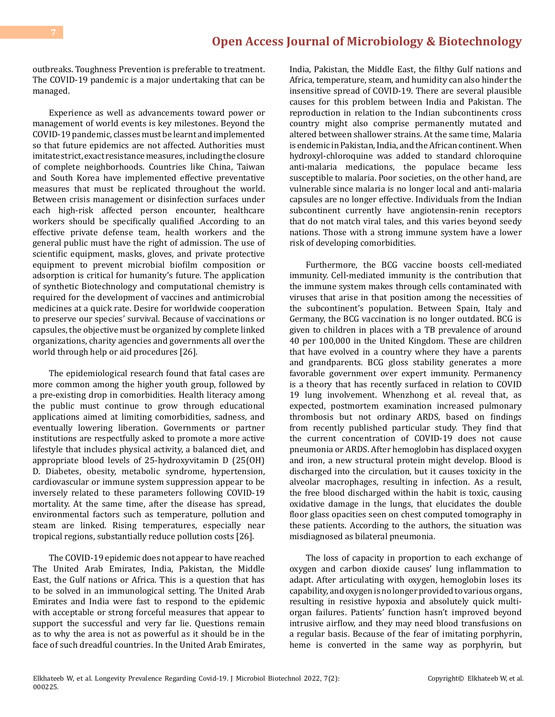outbreaks. Toughness Prevention is preferable to treatment. The COVID-19 pandemic is a major undertaking that can be managed.

Experience as well as advancements toward power or management of world events is key milestones. Beyond the COVID-19 pandemic, classes must be learnt and implemented so that future epidemics are not affected. Authorities must imitate strict, exact resistance measures, including the closure of complete neighborhoods. Countries like China, Taiwan and South Korea have implemented effective preventative measures that must be replicated throughout the world. Between crisis management or disinfection surfaces under each high-risk affected person encounter, healthcare workers should be specifically qualified .According to an effective private defense team, health workers and the general public must have the right of admission. The use of scientific equipment, masks, gloves, and private protective equipment to prevent microbial biofilm composition or adsorption is critical for humanity's future. The application of synthetic Biotechnology and computational chemistry is required for the development of vaccines and antimicrobial medicines at a quick rate. Desire for worldwide cooperation to preserve our species' survival. Because of vaccinations or capsules, the objective must be organized by complete linked organizations, charity agencies and governments all over the world through help or aid procedures [26].

The epidemiological research found that fatal cases are more common among the higher youth group, followed by a pre-existing drop in comorbidities. Health literacy among the public must continue to grow through educational applications aimed at limiting comorbidities, sadness, and eventually lowering liberation. Governments or partner institutions are respectfully asked to promote a more active lifestyle that includes physical activity, a balanced diet, and appropriate blood levels of 25-hydroxyvitamin D (25(OH) D. Diabetes, obesity, metabolic syndrome, hypertension, cardiovascular or immune system suppression appear to be inversely related to these parameters following COVID-19 mortality. At the same time, after the disease has spread, environmental factors such as temperature, pollution and steam are linked. Rising temperatures, especially near tropical regions, substantially reduce pollution costs [26].

The COVID-19 epidemic does not appear to have reached The United Arab Emirates, India, Pakistan, the Middle East, the Gulf nations or Africa. This is a question that has to be solved in an immunological setting. The United Arab Emirates and India were fast to respond to the epidemic with acceptable or strong forceful measures that appear to support the successful and very far lie. Questions remain as to why the area is not as powerful as it should be in the face of such dreadful countries. In the United Arab Emirates,

India, Pakistan, the Middle East, the filthy Gulf nations and Africa, temperature, steam, and humidity can also hinder the insensitive spread of COVID-19. There are several plausible causes for this problem between India and Pakistan. The reproduction in relation to the Indian subcontinents cross country might also comprise permanently mutated and altered between shallower strains. At the same time, Malaria is endemic in Pakistan, India, and the African continent. When hydroxyl-chloroquine was added to standard chloroquine anti-malaria medications, the populace became less susceptible to malaria. Poor societies, on the other hand, are vulnerable since malaria is no longer local and anti-malaria capsules are no longer effective. Individuals from the Indian subcontinent currently have angiotensin-renin receptors that do not match viral tales, and this varies beyond seedy nations. Those with a strong immune system have a lower risk of developing comorbidities.

Furthermore, the BCG vaccine boosts cell-mediated immunity. Cell-mediated immunity is the contribution that the immune system makes through cells contaminated with viruses that arise in that position among the necessities of the subcontinent's population. Between Spain, Italy and Germany, the BCG vaccination is no longer outdated. BCG is given to children in places with a TB prevalence of around 40 per 100,000 in the United Kingdom. These are children that have evolved in a country where they have a parents and grandparents. BCG gloss stability generates a more favorable government over expert immunity. Permanency is a theory that has recently surfaced in relation to COVID 19 lung involvement. Whenzhong et al. reveal that, as expected, postmortem examination increased pulmonary thrombosis but not ordinary ARDS, based on findings from recently published particular study. They find that the current concentration of COVID-19 does not cause pneumonia or ARDS. After hemoglobin has displaced oxygen and iron, a new structural protein might develop. Blood is discharged into the circulation, but it causes toxicity in the alveolar macrophages, resulting in infection. As a result, the free blood discharged within the habit is toxic, causing oxidative damage in the lungs, that elucidates the double floor glass opacities seen on chest computed tomography in these patients. According to the authors, the situation was misdiagnosed as bilateral pneumonia.

The loss of capacity in proportion to each exchange of oxygen and carbon dioxide causes' lung inflammation to adapt. After articulating with oxygen, hemoglobin loses its capability, and oxygen is no longer provided to various organs, resulting in resistive hypoxia and absolutely quick multiorgan failures. Patients' function hasn't improved beyond intrusive airflow, and they may need blood transfusions on a regular basis. Because of the fear of imitating porphyrin, heme is converted in the same way as porphyrin, but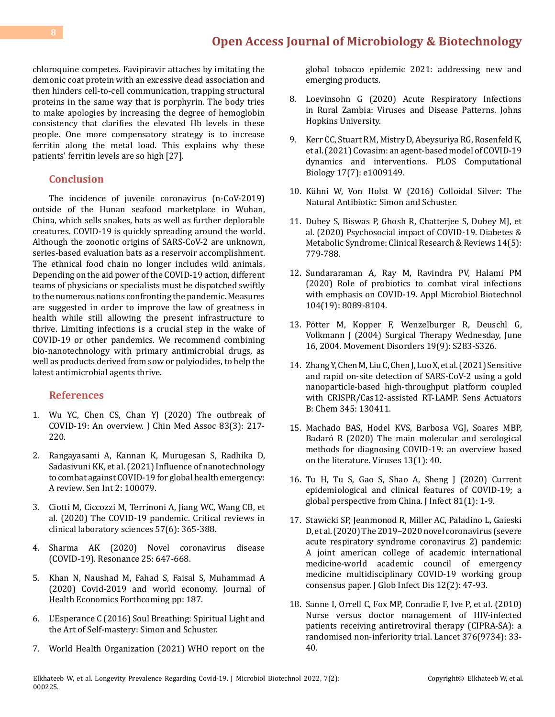# **[Open Access Journal of Microbiology & Biotechnology](https://medwinpublishers.com/OAJMB)**

chloroquine competes. Favipiravir attaches by imitating the demonic coat protein with an excessive dead association and then hinders cell-to-cell communication, trapping structural proteins in the same way that is porphyrin. The body tries to make apologies by increasing the degree of hemoglobin consistency that clarifies the elevated Hb levels in these people. One more compensatory strategy is to increase ferritin along the metal load. This explains why these patients' ferritin levels are so high [27].

### **Conclusion**

The incidence of juvenile coronavirus (n-CoV-2019) outside of the Hunan seafood marketplace in Wuhan, China, which sells snakes, bats as well as further deplorable creatures. COVID-19 is quickly spreading around the world. Although the zoonotic origins of SARS-CoV-2 are unknown, series-based evaluation bats as a reservoir accomplishment. The ethnical food chain no longer includes wild animals. Depending on the aid power of the COVID-19 action, different teams of physicians or specialists must be dispatched swiftly to the numerous nations confronting the pandemic. Measures are suggested in order to improve the law of greatness in health while still allowing the present infrastructure to thrive. Limiting infections is a crucial step in the wake of COVID-19 or other pandemics. We recommend combining bio-nanotechnology with primary antimicrobial drugs, as well as products derived from sow or polyiodides, to help the latest antimicrobial agents thrive.

# **References**

- 1. [Wu YC, Chen CS, Chan YJ \(2020\) The outbreak of](https://pubmed.ncbi.nlm.nih.gov/32134861/) [COVID-19: An overview. J Chin Med Assoc 83\(3\): 217-](https://pubmed.ncbi.nlm.nih.gov/32134861/) [220.](https://pubmed.ncbi.nlm.nih.gov/32134861/)
- 2. [Rangayasami A, Kannan K, Murugesan S, Radhika D,](https://pubmed.ncbi.nlm.nih.gov/34766049/) [Sadasivuni KK, et al. \(2021\) Influence of nanotechnology](https://pubmed.ncbi.nlm.nih.gov/34766049/) [to combat against COVID-19 for global health emergency:](https://pubmed.ncbi.nlm.nih.gov/34766049/) [A review. Sen Int 2: 100079.](https://pubmed.ncbi.nlm.nih.gov/34766049/)
- 3. [Ciotti M, Ciccozzi M, Terrinoni A, Jiang WC, Wang CB, et](https://www.tandfonline.com/doi/full/10.1080/10408363.2020.1783198) [al. \(2020\) The COVID-19 pandemic. Critical reviews in](https://www.tandfonline.com/doi/full/10.1080/10408363.2020.1783198) [clinical laboratory sciences 57\(6\): 365-388.](https://www.tandfonline.com/doi/full/10.1080/10408363.2020.1783198)
- 4. [Sharma AK \(2020\) Novel coronavirus disease](https://link.springer.com/article/10.1007/s12045-020-0981-3) [\(COVID-19\). Resonance 25: 647-668.](https://link.springer.com/article/10.1007/s12045-020-0981-3)
- 5. [Khan N, Naushad M, Fahad S, Faisal S, Muhammad A](https://papers.ssrn.com/sol3/papers.cfm?abstract_id=3566632) [\(2020\) Covid-2019 and world economy. Journal of](https://papers.ssrn.com/sol3/papers.cfm?abstract_id=3566632) Health Economics [Forthcoming pp: 187.](https://papers.ssrn.com/sol3/papers.cfm?abstract_id=3566632)
- 6. L'Esperance C (2016) Soul Breathing: Spiritual Light and the Art of Self-mastery: Simon and Schuster.
- 7. [World Health Organization \(2021\) WHO report on the](https://www.who.int/publications/i/item/9789240032095)

[global tobacco epidemic 2021: addressing new and](https://www.who.int/publications/i/item/9789240032095)  [emerging products.](https://www.who.int/publications/i/item/9789240032095)

- 8. [Loevinsohn G \(2020\) Acute Respiratory Infections](https://jscholarship.library.jhu.edu/handle/1774.2/63457) [in Rural Zambia: Viruses and Disease Patterns. Johns](https://jscholarship.library.jhu.edu/handle/1774.2/63457)  [Hopkins University.](https://jscholarship.library.jhu.edu/handle/1774.2/63457)
- 9. [Kerr CC, Stuart RM, Mistry D, Abeysuriya RG, Rosenfeld K,](https://journals.plos.org/ploscompbiol/article?id=10.1371/journal.pcbi.1009149)  [et al. \(2021\) Covasim: an agent-based model of COVID-19](https://journals.plos.org/ploscompbiol/article?id=10.1371/journal.pcbi.1009149) [dynamics and interventions. PLOS Computational](https://journals.plos.org/ploscompbiol/article?id=10.1371/journal.pcbi.1009149)  [Biology 17\(7\): e1009149.](https://journals.plos.org/ploscompbiol/article?id=10.1371/journal.pcbi.1009149)
- 10. Kühni W, Von Holst W (2016) Colloidal Silver: The Natural Antibiotic: Simon and Schuster.
- 11. [Dubey S, Biswas P, Ghosh R, Chatterjee S, Dubey MJ, et](https://www.sciencedirect.com/science/article/pii/S1871402120301545)  [al. \(2020\) Psychosocial impact of COVID-19. Diabetes &](https://www.sciencedirect.com/science/article/pii/S1871402120301545) [Metabolic Syndrome: Clinical Research & Reviews 14\(5\):](https://www.sciencedirect.com/science/article/pii/S1871402120301545) [779-788.](https://www.sciencedirect.com/science/article/pii/S1871402120301545)
- 12. [Sundararaman A, Ray M, Ravindra PV, Halami PM](https://pubmed.ncbi.nlm.nih.gov/32813065/)  [\(2020\) Role of probiotics to combat viral infections](https://pubmed.ncbi.nlm.nih.gov/32813065/)  [with emphasis on COVID-19. Appl Microbiol Biotechnol](https://pubmed.ncbi.nlm.nih.gov/32813065/) [104\(19\): 8089-8104.](https://pubmed.ncbi.nlm.nih.gov/32813065/)
- 13. Pötter M, Kopper F, Wenzelburger R, Deuschl G, Volkmann J (2004) Surgical Therapy Wednesday, June 16, 2004. Movement Disorders 19(9): S283-S326.
- 14. [Zhang Y, Chen M, Liu C, Chen J, Luo X, et al. \(2021\) Sensitive](https://pubmed.ncbi.nlm.nih.gov/34248284/)  [and rapid on-site detection of SARS-CoV-2 using a gold](https://pubmed.ncbi.nlm.nih.gov/34248284/)  [nanoparticle-based high-throughput platform coupled](https://pubmed.ncbi.nlm.nih.gov/34248284/)  [with CRISPR/Cas12-assisted RT-LAMP. Sens Actuators](https://pubmed.ncbi.nlm.nih.gov/34248284/) [B: Chem 345: 130411.](https://pubmed.ncbi.nlm.nih.gov/34248284/)
- 15. [Machado BAS, Hodel KVS, Barbosa VGJ, Soares MBP,](https://pubmed.ncbi.nlm.nih.gov/33383888/)  [Badaró R \(2020\) The main molecular and serological](https://pubmed.ncbi.nlm.nih.gov/33383888/)  [methods for diagnosing COVID-19: an overview based](https://pubmed.ncbi.nlm.nih.gov/33383888/) [on the literature. Viruses 13\(1\): 40.](https://pubmed.ncbi.nlm.nih.gov/33383888/)
- 16. [Tu H, Tu S, Gao S, Shao A, Sheng J \(2020\) Current](https://pubmed.ncbi.nlm.nih.gov/32315723/)  [epidemiological and clinical features of COVID-19; a](https://pubmed.ncbi.nlm.nih.gov/32315723/)  [global perspective from China. J Infect 81\(1\): 1-9.](https://pubmed.ncbi.nlm.nih.gov/32315723/)
- 17. [Stawicki SP, Jeanmonod R, Miller AC, Paladino L, Gaieski](https://pubmed.ncbi.nlm.nih.gov/32773996/) [D, et al. \(2020\) The 2019–2020 novel coronavirus \(severe](https://pubmed.ncbi.nlm.nih.gov/32773996/)  [acute respiratory syndrome coronavirus 2\) pandemic:](https://pubmed.ncbi.nlm.nih.gov/32773996/) [A joint american college of academic international](https://pubmed.ncbi.nlm.nih.gov/32773996/) [medicine-world academic council of emergency](https://pubmed.ncbi.nlm.nih.gov/32773996/)  [medicine multidisciplinary COVID-19 working group](https://pubmed.ncbi.nlm.nih.gov/32773996/)  [consensus paper. J Glob Infect Dis 12\(2\): 47-93.](https://pubmed.ncbi.nlm.nih.gov/32773996/)
- 18. [Sanne I, Orrell C, Fox MP, Conradie F, Ive P, et al. \(2010\)](https://pubmed.ncbi.nlm.nih.gov/20557927/) [Nurse versus doctor management of HIV-infected](https://pubmed.ncbi.nlm.nih.gov/20557927/) [patients receiving antiretroviral therapy \(CIPRA-SA\): a](https://pubmed.ncbi.nlm.nih.gov/20557927/)  [randomised non-inferiority trial. Lancet 376\(9734\): 33-](https://pubmed.ncbi.nlm.nih.gov/20557927/) [40.](https://pubmed.ncbi.nlm.nih.gov/20557927/)